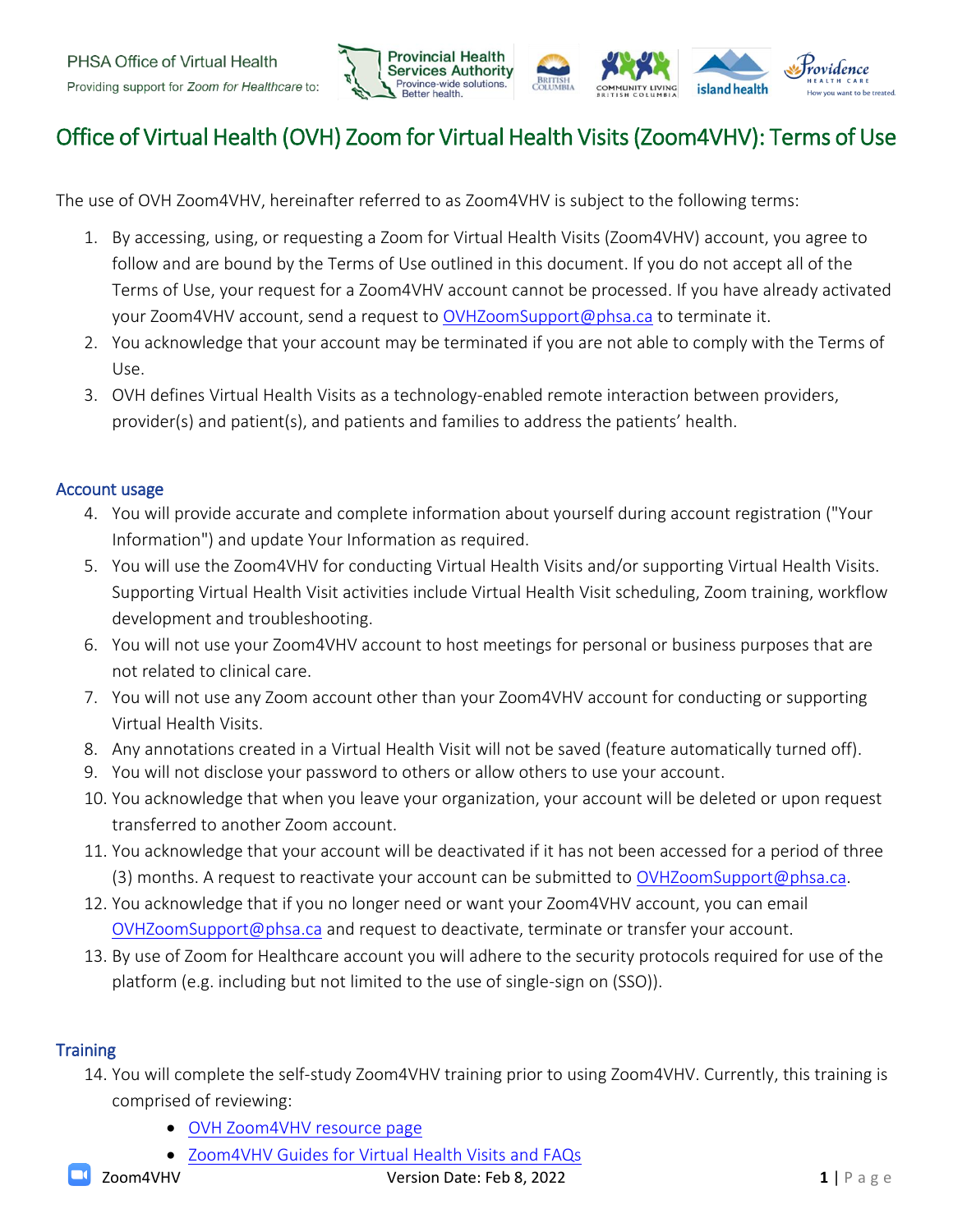

# Office of Virtual Health (OVH) Zoom for Virtual Health Visits (Zoom4VHV): Terms of Use

The use of OVH Zoom4VHV, hereinafter referred to as Zoom4VHV is subject to the following terms:

- 1. By accessing, using, or requesting a Zoom for Virtual Health Visits (Zoom4VHV) account, you agree to follow and are bound by the Terms of Use outlined in this document. If you do not accept all of the Terms of Use, your request for a Zoom4VHV account cannot be processed. If you have already activated your Zoom4VHV account, send a request to [OVHZoomSupport@phsa.ca](mailto:OVHZoomSupport@phsa.ca) to terminate it.
- 2. You acknowledge that your account may be terminated if you are not able to comply with the Terms of Use.
- 3. OVH defines Virtual Health Visits as a technology-enabled remote interaction between providers, provider(s) and patient(s), and patients and families to address the patients' health.

## Account usage

- 4. You will provide accurate and complete information about yourself during account registration ("Your Information") and update Your Information as required.
- 5. You will use the Zoom4VHV for conducting Virtual Health Visits and/or supporting Virtual Health Visits. Supporting Virtual Health Visit activities include Virtual Health Visit scheduling, Zoom training, workflow development and troubleshooting.
- 6. You will not use your Zoom4VHV account to host meetings for personal or business purposes that are not related to clinical care.
- 7. You will not use any Zoom account other than your Zoom4VHV account for conducting or supporting Virtual Health Visits.
- 8. Any annotations created in a Virtual Health Visit will not be saved (feature automatically turned off).
- 9. You will not disclose your password to others or allow others to use your account.
- 10. You acknowledge that when you leave your organization, your account will be deleted or upon request transferred to another Zoom account.
- 11. You acknowledge that your account will be deactivated if it has not been accessed for a period of three (3) months. A request to reactivate your account can be submitted to [OVHZoomSupport@phsa.ca.](mailto:OVHZoomSupport@phsa.ca)
- 12. You acknowledge that if you no longer need or want your Zoom4VHV account, you can email [OVHZoomSupport@phsa.ca](mailto:OVHZoomSupport@phsa.ca) and request to deactivate, terminate or transfer your account.
- 13. By use of Zoom for Healthcare account you will adhere to the security protocols required for use of the platform (e.g. including but not limited to the use of single-sign on (SSO)).

# **Training**

- 14. You will complete the self-study Zoom4VHV training prior to using Zoom4VHV. Currently, this training is comprised of reviewing:
	- [OVH Zoom4VHV](http://www.phsa.ca/health-professionals/professional-resources/office-of-virtual-health/covid-19-virtual-health-toolkit/zoom-for-healthcare) resource page
	- Zoom4VHV [Guides for Virtual Health Visits](http://www.phsa.ca/health-professionals/professional-resources/office-of-virtual-health/covid-19-virtual-health-toolkit/zoom-for-healthcare#FAQs) and FAQs

**Zoom4VHV 1** | P a g e